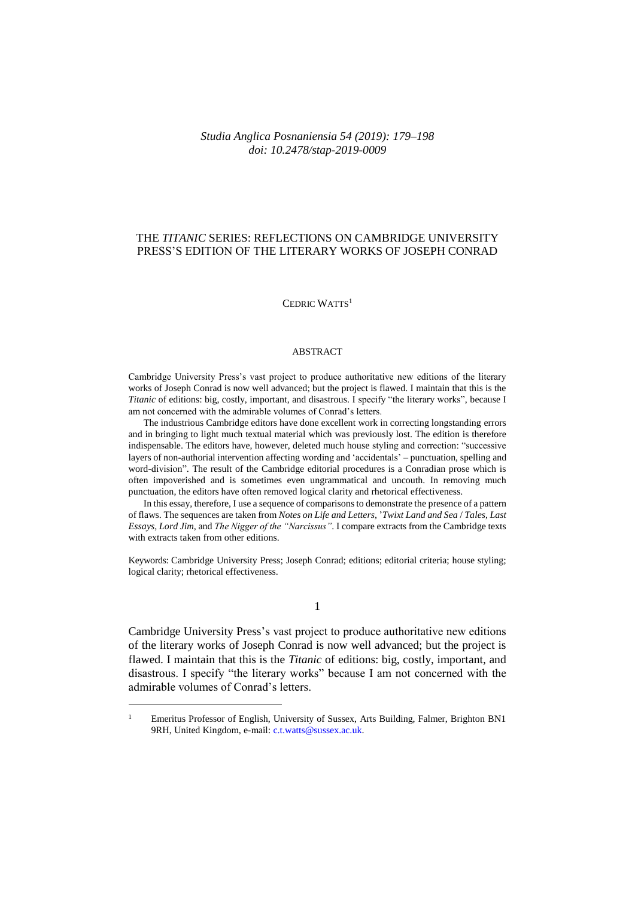# *Studia Anglica Posnaniensia 54 (2019): 179–198 doi: 10.2478/stap-2019-0009*

# THE *TITANIC* SERIES: REFLECTIONS ON CAMBRIDGE UNIVERSITY PRESS'S EDITION OF THE LITERARY WORKS OF JOSEPH CONRAD

CEDRIC WATTS<sup>1</sup>

#### ABSTRACT

Cambridge University Press's vast project to produce authoritative new editions of the literary works of Joseph Conrad is now well advanced; but the project is flawed. I maintain that this is the *Titanic* of editions: big, costly, important, and disastrous. I specify "the literary works", because I am not concerned with the admirable volumes of Conrad's letters.

The industrious Cambridge editors have done excellent work in correcting longstanding errors and in bringing to light much textual material which was previously lost. The edition is therefore indispensable. The editors have, however, deleted much house styling and correction: "successive layers of non-authorial intervention affecting wording and 'accidentals' – punctuation, spelling and word-division". The result of the Cambridge editorial procedures is a Conradian prose which is often impoverished and is sometimes even ungrammatical and uncouth. In removing much punctuation, the editors have often removed logical clarity and rhetorical effectiveness.

In this essay, therefore, I use a sequence of comparisons to demonstrate the presence of a pattern of flaws. The sequences are taken from *Notes on Life and Letters*, '*Twixt Land and Sea* / *Tales*, *Last Essays*, *Lord Jim*, and *The Nigger of the "Narcissus"*. I compare extracts from the Cambridge texts with extracts taken from other editions.

Keywords: Cambridge University Press; Joseph Conrad; editions; editorial criteria; house styling; logical clarity; rhetorical effectiveness.

1

Cambridge University Press's vast project to produce authoritative new editions of the literary works of Joseph Conrad is now well advanced; but the project is flawed. I maintain that this is the *Titanic* of editions: big, costly, important, and disastrous. I specify "the literary works" because I am not concerned with the admirable volumes of Conrad's letters.

 $\overline{a}$ 

<sup>&</sup>lt;sup>1</sup> Emeritus Professor of English, University of Sussex, Arts Building, Falmer, Brighton BN1 9RH, United Kingdom, e-mail: [c.t.watts@sussex.ac.uk.](mailto:c.t.watts@sussex.ac.uk)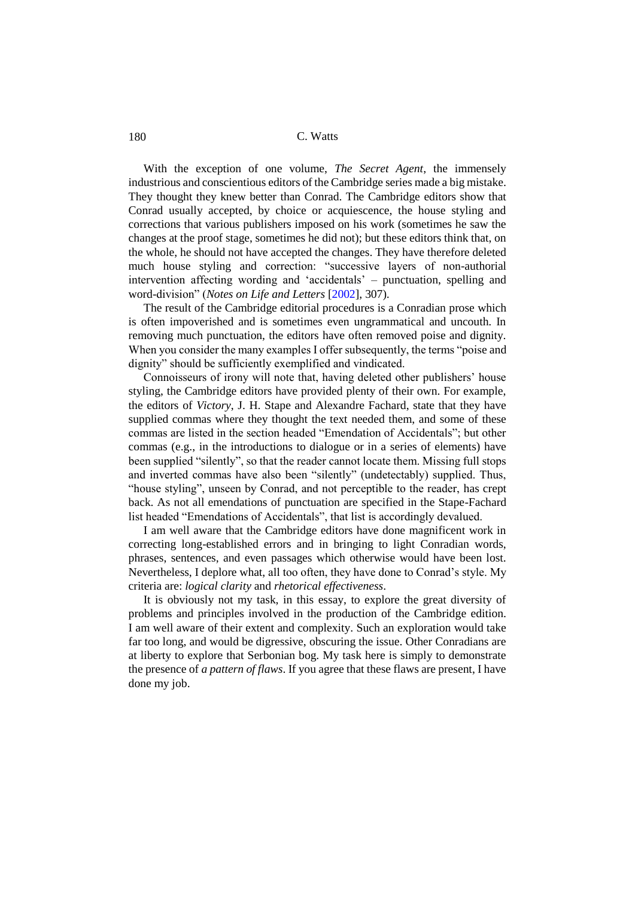With the exception of one volume, *The Secret Agent*, the immensely industrious and conscientious editors of the Cambridge series made a big mistake. They thought they knew better than Conrad. The Cambridge editors show that Conrad usually accepted, by choice or acquiescence, the house styling and corrections that various publishers imposed on his work (sometimes he saw the changes at the proof stage, sometimes he did not); but these editors think that, on the whole, he should not have accepted the changes. They have therefore deleted much house styling and correction: "successive layers of non-authorial intervention affecting wording and 'accidentals' – punctuation, spelling and word-division" (*Notes on Life and Letters* [\[2002\]](#page-18-0), 307).

The result of the Cambridge editorial procedures is a Conradian prose which is often impoverished and is sometimes even ungrammatical and uncouth. In removing much punctuation, the editors have often removed poise and dignity. When you consider the many examples I offer subsequently, the terms "poise and dignity" should be sufficiently exemplified and vindicated.

Connoisseurs of irony will note that, having deleted other publishers' house styling, the Cambridge editors have provided plenty of their own. For example, the editors of *Victory*, J. H. Stape and Alexandre Fachard, state that they have supplied commas where they thought the text needed them, and some of these commas are listed in the section headed "Emendation of Accidentals"; but other commas (e.g., in the introductions to dialogue or in a series of elements) have been supplied "silently", so that the reader cannot locate them. Missing full stops and inverted commas have also been "silently" (undetectably) supplied. Thus, "house styling", unseen by Conrad, and not perceptible to the reader, has crept back. As not all emendations of punctuation are specified in the Stape-Fachard list headed "Emendations of Accidentals", that list is accordingly devalued.

I am well aware that the Cambridge editors have done magnificent work in correcting long-established errors and in bringing to light Conradian words, phrases, sentences, and even passages which otherwise would have been lost. Nevertheless, I deplore what, all too often, they have done to Conrad's style. My criteria are: *logical clarity* and *rhetorical effectiveness*.

It is obviously not my task, in this essay, to explore the great diversity of problems and principles involved in the production of the Cambridge edition. I am well aware of their extent and complexity. Such an exploration would take far too long, and would be digressive, obscuring the issue. Other Conradians are at liberty to explore that Serbonian bog. My task here is simply to demonstrate the presence of *a pattern of flaws*. If you agree that these flaws are present, I have done my job.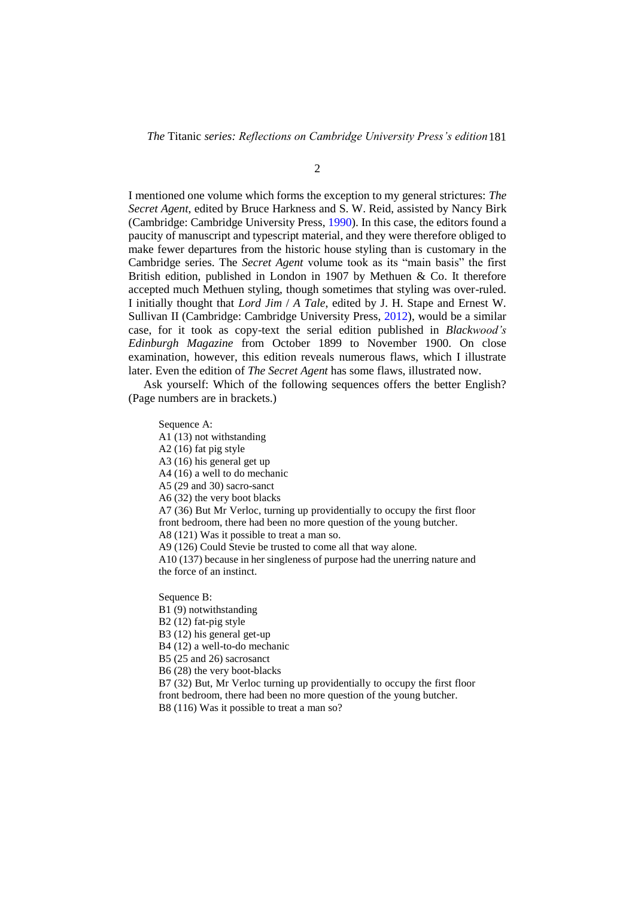*The* Titanic *series: Reflections on Cambridge University Press's edition*181

2

I mentioned one volume which forms the exception to my general strictures: *The Secret Agent*, edited by Bruce Harkness and S. W. Reid, assisted by Nancy Birk (Cambridge: Cambridge University Press[, 1990\)](#page-18-1). In this case, the editors found a paucity of manuscript and typescript material, and they were therefore obliged to make fewer departures from the historic house styling than is customary in the Cambridge series. The *Secret Agent* volume took as its "main basis" the first British edition, published in London in 1907 by Methuen & Co. It therefore accepted much Methuen styling, though sometimes that styling was over-ruled. I initially thought that *Lord Jim* / *A Tale*, edited by J. H. Stape and Ernest W. Sullivan II (Cambridge: Cambridge University Press, [2012\)](#page-18-2), would be a similar case, for it took as copy-text the serial edition published in *Blackwood's Edinburgh Magazine* from October 1899 to November 1900. On close examination, however, this edition reveals numerous flaws, which I illustrate later. Even the edition of *The Secret Agent* has some flaws, illustrated now.

Ask yourself: Which of the following sequences offers the better English? (Page numbers are in brackets.)

Sequence A:

A1 (13) not withstanding

A2 (16) fat pig style

A3 (16) his general get up

A4 (16) a well to do mechanic

A5 (29 and 30) sacro-sanct

A6 (32) the very boot blacks

A7 (36) But Mr Verloc, turning up providentially to occupy the first floor front bedroom, there had been no more question of the young butcher.

A8 (121) Was it possible to treat a man so.

A9 (126) Could Stevie be trusted to come all that way alone.

A10 (137) because in her singleness of purpose had the unerring nature and the force of an instinct.

Sequence B:

B1 (9) notwithstanding

B2 (12) fat-pig style

B3 (12) his general get-up

B4 (12) a well-to-do mechanic

B5 (25 and 26) sacrosanct

B6 (28) the very boot-blacks

B7 (32) But, Mr Verloc turning up providentially to occupy the first floor front bedroom, there had been no more question of the young butcher. B8 (116) Was it possible to treat a man so?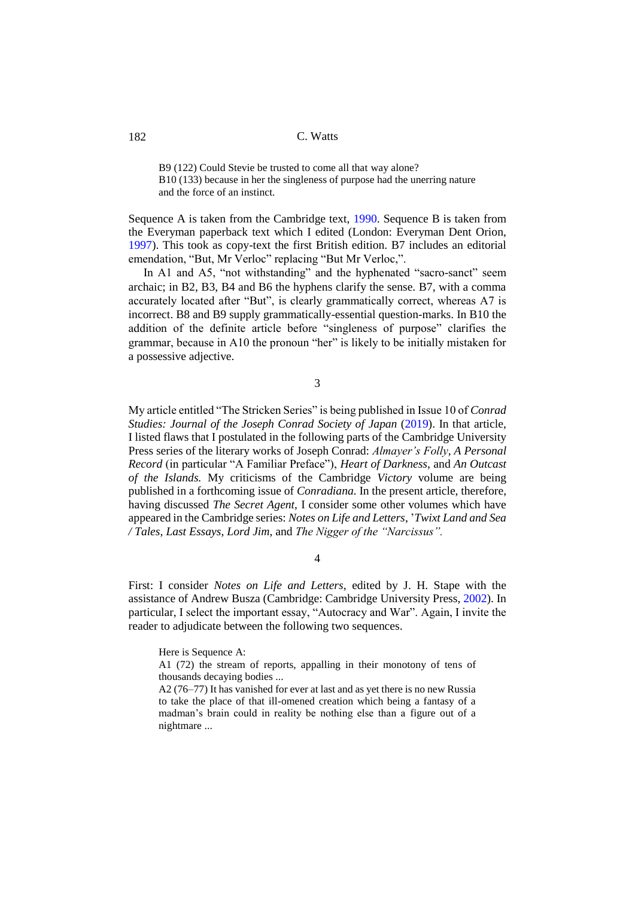B9 (122) Could Stevie be trusted to come all that way alone? B10 (133) because in her the singleness of purpose had the unerring nature and the force of an instinct.

Sequence A is taken from the Cambridge text, [1990.](#page-18-1) Sequence B is taken from the Everyman paperback text which I edited (London: Everyman Dent Orion, [1997\)](#page-18-3). This took as copy-text the first British edition. B7 includes an editorial emendation, "But, Mr Verloc" replacing "But Mr Verloc,".

In A1 and A5, "not withstanding" and the hyphenated "sacro-sanct" seem archaic; in B2, B3, B4 and B6 the hyphens clarify the sense. B7, with a comma accurately located after "But", is clearly grammatically correct, whereas A7 is incorrect. B8 and B9 supply grammatically-essential question-marks. In B10 the addition of the definite article before "singleness of purpose" clarifies the grammar, because in A10 the pronoun "her" is likely to be initially mistaken for a possessive adjective.

3

My article entitled "The Stricken Series" is being published in Issue 10 of *Conrad Studies: Journal of the Joseph Conrad Society of Japan [\(2019\)](#page-19-0).* In that article, I listed flaws that I postulated in the following parts of the Cambridge University Press series of the literary works of Joseph Conrad: *Almayer's Folly*, *A Personal Record* (in particular "A Familiar Preface"), *Heart of Darkness*, and *An Outcast of the Islands.* My criticisms of the Cambridge *Victory* volume are being published in a forthcoming issue of *Conradiana.* In the present article, therefore, having discussed *The Secret Agent*, I consider some other volumes which have appeared in the Cambridge series: *Notes on Life and Letters*, '*Twixt Land and Sea / Tales*, *Last Essays*, *Lord Jim*, and *The Nigger of the "Narcissus".*

4

First: I consider *Notes on Life and Letters*, edited by J. H. Stape with the assistance of Andrew Busza (Cambridge: Cambridge University Press, [2002\)](#page-18-0). In particular, I select the important essay, "Autocracy and War". Again, I invite the reader to adjudicate between the following two sequences.

Here is Sequence A:

A1 (72) the stream of reports, appalling in their monotony of tens of thousands decaying bodies ...

A2 (76–77) It has vanished for ever at last and as yet there is no new Russia to take the place of that ill-omened creation which being a fantasy of a madman's brain could in reality be nothing else than a figure out of a nightmare ...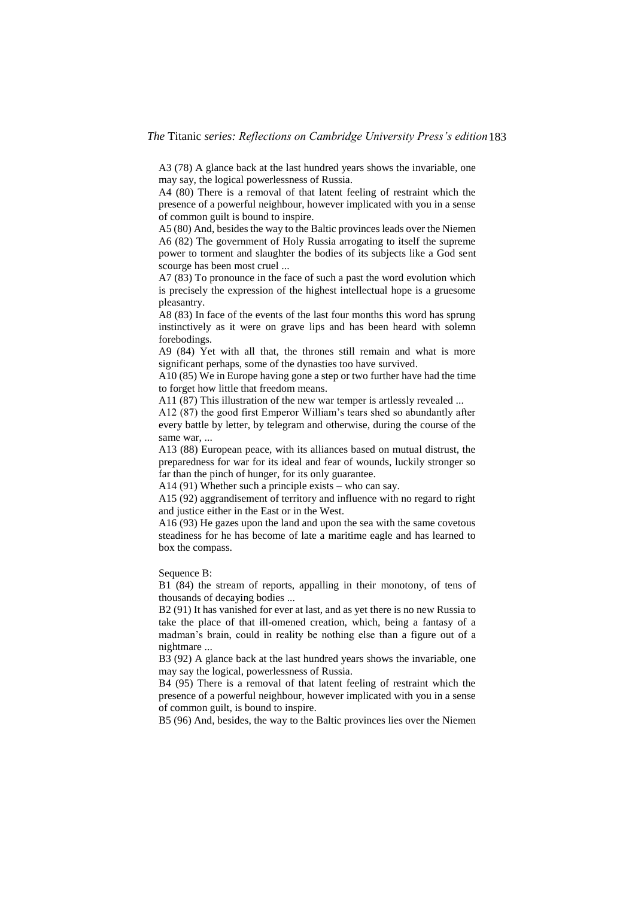A3 (78) A glance back at the last hundred years shows the invariable, one may say, the logical powerlessness of Russia.

A4 (80) There is a removal of that latent feeling of restraint which the presence of a powerful neighbour, however implicated with you in a sense of common guilt is bound to inspire.

A5 (80) And, besides the way to the Baltic provinces leads over the Niemen A6 (82) The government of Holy Russia arrogating to itself the supreme power to torment and slaughter the bodies of its subjects like a God sent scourge has been most cruel ...

A7 (83) To pronounce in the face of such a past the word evolution which is precisely the expression of the highest intellectual hope is a gruesome pleasantry.

A8 (83) In face of the events of the last four months this word has sprung instinctively as it were on grave lips and has been heard with solemn forebodings.

A9 (84) Yet with all that, the thrones still remain and what is more significant perhaps, some of the dynasties too have survived.

A10 (85) We in Europe having gone a step or two further have had the time to forget how little that freedom means.

A11 (87) This illustration of the new war temper is artlessly revealed ...

A12 (87) the good first Emperor William's tears shed so abundantly after every battle by letter, by telegram and otherwise, during the course of the same war, ...

A13 (88) European peace, with its alliances based on mutual distrust, the preparedness for war for its ideal and fear of wounds, luckily stronger so far than the pinch of hunger, for its only guarantee.

A14 (91) Whether such a principle exists – who can say.

A15 (92) aggrandisement of territory and influence with no regard to right and justice either in the East or in the West.

A16 (93) He gazes upon the land and upon the sea with the same covetous steadiness for he has become of late a maritime eagle and has learned to box the compass.

Sequence B:

B1 (84) the stream of reports, appalling in their monotony, of tens of thousands of decaying bodies ...

B2 (91) It has vanished for ever at last, and as yet there is no new Russia to take the place of that ill-omened creation, which, being a fantasy of a madman's brain, could in reality be nothing else than a figure out of a nightmare ...

B3 (92) A glance back at the last hundred years shows the invariable, one may say the logical, powerlessness of Russia.

B4 (95) There is a removal of that latent feeling of restraint which the presence of a powerful neighbour, however implicated with you in a sense of common guilt, is bound to inspire.

B5 (96) And, besides, the way to the Baltic provinces lies over the Niemen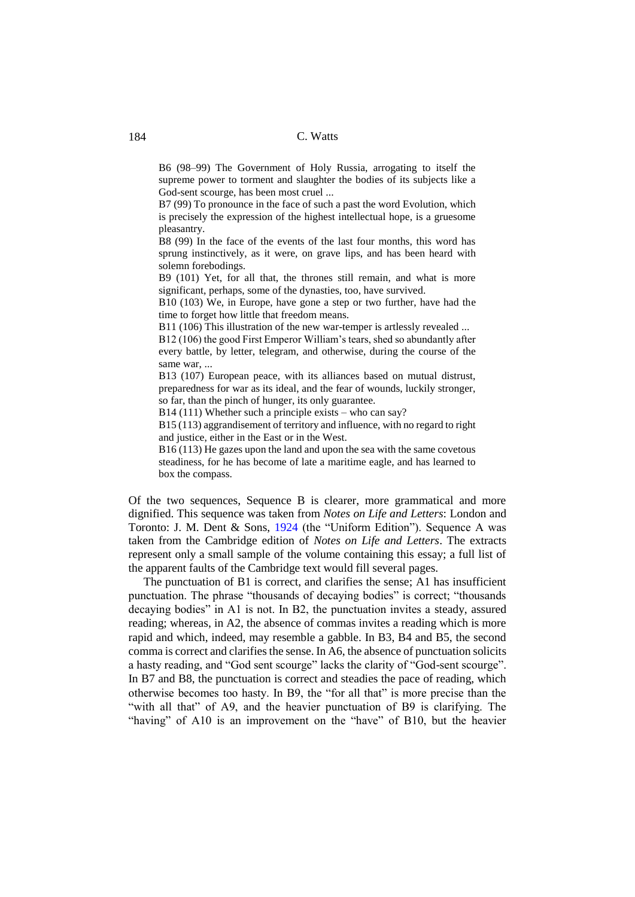B6 (98–99) The Government of Holy Russia, arrogating to itself the supreme power to torment and slaughter the bodies of its subjects like a God-sent scourge, has been most cruel ...

B7 (99) To pronounce in the face of such a past the word Evolution, which is precisely the expression of the highest intellectual hope, is a gruesome pleasantry.

B8 (99) In the face of the events of the last four months, this word has sprung instinctively, as it were, on grave lips, and has been heard with solemn forebodings.

B9 (101) Yet, for all that, the thrones still remain, and what is more significant, perhaps, some of the dynasties, too, have survived.

B10 (103) We, in Europe, have gone a step or two further, have had the time to forget how little that freedom means.

B11 (106) This illustration of the new war-temper is artlessly revealed ...

B12 (106) the good First Emperor William's tears, shed so abundantly after every battle, by letter, telegram, and otherwise, during the course of the same war, ...

B13 (107) European peace, with its alliances based on mutual distrust, preparedness for war as its ideal, and the fear of wounds, luckily stronger, so far, than the pinch of hunger, its only guarantee.

B14 (111) Whether such a principle exists – who can say?

B15 (113) aggrandisement of territory and influence, with no regard to right and justice, either in the East or in the West.

B16 (113) He gazes upon the land and upon the sea with the same covetous steadiness, for he has become of late a maritime eagle, and has learned to box the compass.

Of the two sequences, Sequence B is clearer, more grammatical and more dignified. This sequence was taken from *Notes on Life and Letters*: London and Toronto: J. M. Dent & Sons, [1924](#page-18-4) (the "Uniform Edition"). Sequence A was taken from the Cambridge edition of *Notes on Life and Letters*. The extracts represent only a small sample of the volume containing this essay; a full list of the apparent faults of the Cambridge text would fill several pages.

The punctuation of B1 is correct, and clarifies the sense; A1 has insufficient punctuation. The phrase "thousands of decaying bodies" is correct; "thousands decaying bodies" in A1 is not. In B2, the punctuation invites a steady, assured reading; whereas, in A2, the absence of commas invites a reading which is more rapid and which, indeed, may resemble a gabble. In B3, B4 and B5, the second comma is correct and clarifies the sense. In A6, the absence of punctuation solicits a hasty reading, and "God sent scourge" lacks the clarity of "God-sent scourge". In B7 and B8, the punctuation is correct and steadies the pace of reading, which otherwise becomes too hasty. In B9, the "for all that" is more precise than the "with all that" of A9, and the heavier punctuation of B9 is clarifying. The "having" of A10 is an improvement on the "have" of B10, but the heavier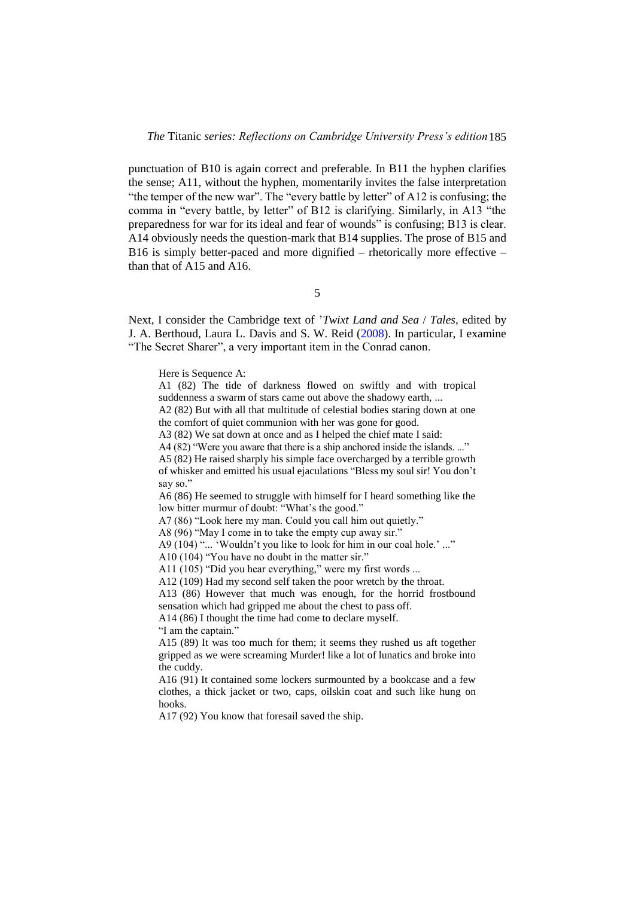punctuation of B10 is again correct and preferable. In B11 the hyphen clarifies the sense; A11, without the hyphen, momentarily invites the false interpretation "the temper of the new war". The "every battle by letter" of A12 is confusing; the comma in "every battle, by letter" of B12 is clarifying. Similarly, in A13 "the preparedness for war for its ideal and fear of wounds" is confusing; B13 is clear. A14 obviously needs the question-mark that B14 supplies. The prose of B15 and B16 is simply better-paced and more dignified – rhetorically more effective – than that of A15 and A16.

5

Next, I consider the Cambridge text of '*Twixt Land and Sea* / *Tales*, edited by J. A. Berthoud, Laura L. Davis and S. W. Reid [\(2008\)](#page-18-5). In particular, I examine "The Secret Sharer", a very important item in the Conrad canon.

Here is Sequence A:

A1 (82) The tide of darkness flowed on swiftly and with tropical suddenness a swarm of stars came out above the shadowy earth, ...

A2 (82) But with all that multitude of celestial bodies staring down at one the comfort of quiet communion with her was gone for good.

A3 (82) We sat down at once and as I helped the chief mate I said:

A4 (82) "Were you aware that there is a ship anchored inside the islands. ..."

A5 (82) He raised sharply his simple face overcharged by a terrible growth of whisker and emitted his usual ejaculations "Bless my soul sir! You don't say so."

A6 (86) He seemed to struggle with himself for I heard something like the low bitter murmur of doubt: "What's the good."

A7 (86) "Look here my man. Could you call him out quietly."

A8 (96) "May I come in to take the empty cup away sir."

A9 (104) "... 'Wouldn't you like to look for him in our coal hole.' ..."

A10 (104) "You have no doubt in the matter sir."

A11 (105) "Did you hear everything," were my first words ...

A12 (109) Had my second self taken the poor wretch by the throat.

A13 (86) However that much was enough, for the horrid frostbound sensation which had gripped me about the chest to pass off.

A14 (86) I thought the time had come to declare myself.

"I am the captain."

A15 (89) It was too much for them; it seems they rushed us aft together gripped as we were screaming Murder! like a lot of lunatics and broke into the cuddy.

A16 (91) It contained some lockers surmounted by a bookcase and a few clothes, a thick jacket or two, caps, oilskin coat and such like hung on hooks.

A17 (92) You know that foresail saved the ship.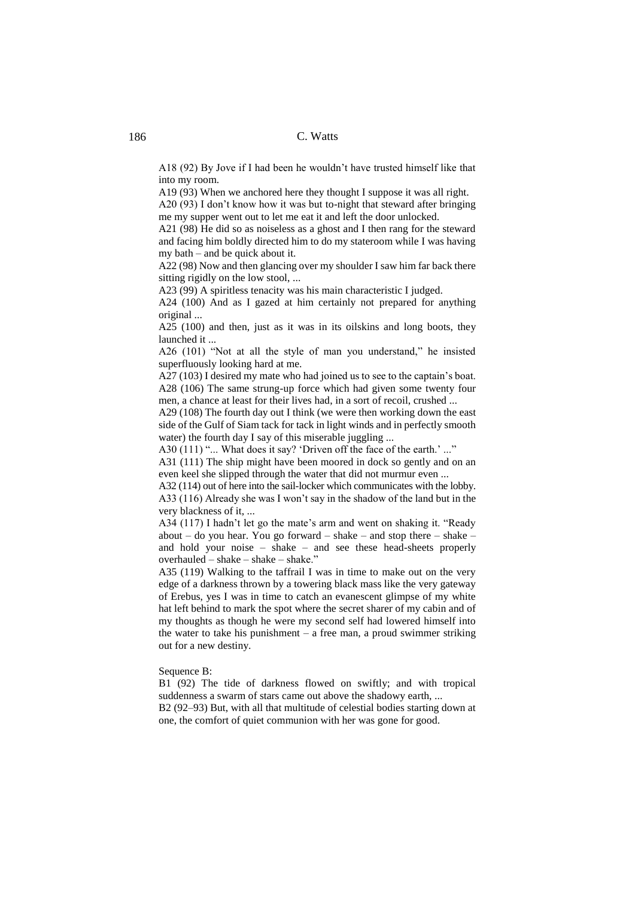A18 (92) By Jove if I had been he wouldn't have trusted himself like that into my room.

A19 (93) When we anchored here they thought I suppose it was all right.

A20 (93) I don't know how it was but to-night that steward after bringing me my supper went out to let me eat it and left the door unlocked.

A21 (98) He did so as noiseless as a ghost and I then rang for the steward and facing him boldly directed him to do my stateroom while I was having my bath – and be quick about it.

A22 (98) Now and then glancing over my shoulder I saw him far back there sitting rigidly on the low stool, ...

A23 (99) A spiritless tenacity was his main characteristic I judged.

A24 (100) And as I gazed at him certainly not prepared for anything original ...

A25 (100) and then, just as it was in its oilskins and long boots, they launched it ...

A26 (101) "Not at all the style of man you understand," he insisted superfluously looking hard at me.

A27 (103) I desired my mate who had joined us to see to the captain's boat. A28 (106) The same strung-up force which had given some twenty four men, a chance at least for their lives had, in a sort of recoil, crushed ...

A29 (108) The fourth day out I think (we were then working down the east side of the Gulf of Siam tack for tack in light winds and in perfectly smooth water) the fourth day I say of this miserable juggling ...

A30 (111) "... What does it say? 'Driven off the face of the earth.' ..."

A31 (111) The ship might have been moored in dock so gently and on an even keel she slipped through the water that did not murmur even ...

A32 (114) out of here into the sail-locker which communicates with the lobby. A33 (116) Already she was I won't say in the shadow of the land but in the very blackness of it, ...

A34 (117) I hadn't let go the mate's arm and went on shaking it. "Ready about – do you hear. You go forward – shake – and stop there – shake – and hold your noise – shake – and see these head-sheets properly overhauled – shake – shake – shake."

A35 (119) Walking to the taffrail I was in time to make out on the very edge of a darkness thrown by a towering black mass like the very gateway of Erebus, yes I was in time to catch an evanescent glimpse of my white hat left behind to mark the spot where the secret sharer of my cabin and of my thoughts as though he were my second self had lowered himself into the water to take his punishment  $-$  a free man, a proud swimmer striking out for a new destiny.

#### Sequence B:

B1 (92) The tide of darkness flowed on swiftly; and with tropical suddenness a swarm of stars came out above the shadowy earth, ...

B2 (92–93) But, with all that multitude of celestial bodies starting down at one, the comfort of quiet communion with her was gone for good.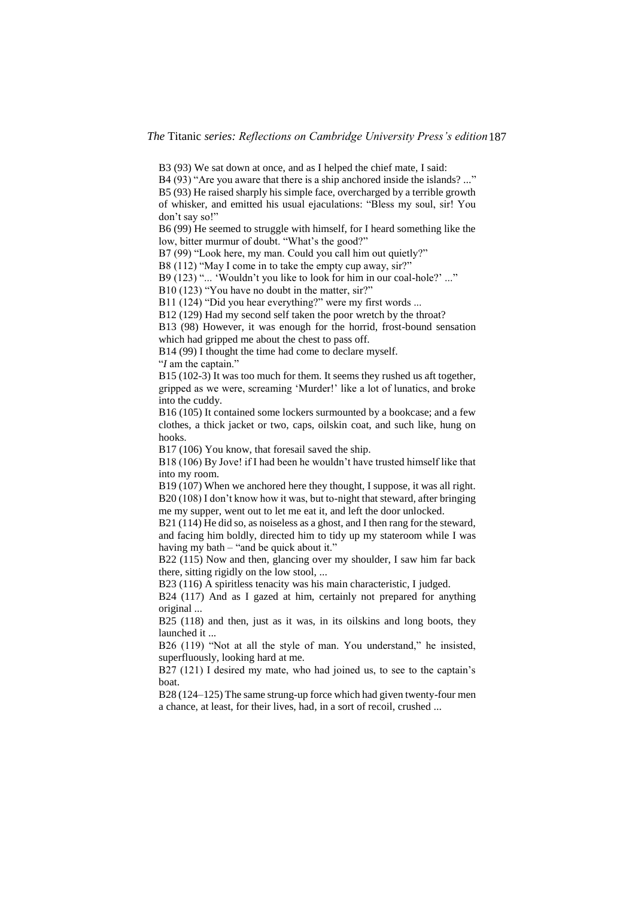*The* Titanic *series: Reflections on Cambridge University Press's edition*187

B3 (93) We sat down at once, and as I helped the chief mate, I said:

B4 (93) "Are you aware that there is a ship anchored inside the islands? ..." B5 (93) He raised sharply his simple face, overcharged by a terrible growth of whisker, and emitted his usual ejaculations: "Bless my soul, sir! You don't say so!"

B6 (99) He seemed to struggle with himself, for I heard something like the low, bitter murmur of doubt. "What's the good?"

B7 (99) "Look here, my man. Could you call him out quietly?"

B8 (112) "May I come in to take the empty cup away, sir?"

B9 (123) "... 'Wouldn't you like to look for him in our coal-hole?' ..."

B<sub>10</sub> (123) "You have no doubt in the matter, sir?"

B11 (124) "Did you hear everything?" were my first words ...

B12 (129) Had my second self taken the poor wretch by the throat?

B13 (98) However, it was enough for the horrid, frost-bound sensation which had gripped me about the chest to pass off.

B14 (99) I thought the time had come to declare myself.

"*I* am the captain."

B15 (102-3) It was too much for them. It seems they rushed us aft together, gripped as we were, screaming 'Murder!' like a lot of lunatics, and broke into the cuddy.

B16 (105) It contained some lockers surmounted by a bookcase; and a few clothes, a thick jacket or two, caps, oilskin coat, and such like, hung on hooks.

B17 (106) You know, that foresail saved the ship.

B18 (106) By Jove! if I had been he wouldn't have trusted himself like that into my room.

B19 (107) When we anchored here they thought, I suppose, it was all right. B20 (108) I don't know how it was, but to-night that steward, after bringing me my supper, went out to let me eat it, and left the door unlocked.

B21 (114) He did so, as noiseless as a ghost, and I then rang for the steward, and facing him boldly, directed him to tidy up my stateroom while I was having my bath – "and be quick about it."

B22 (115) Now and then, glancing over my shoulder, I saw him far back there, sitting rigidly on the low stool, ...

B23 (116) A spiritless tenacity was his main characteristic, I judged.

B24 (117) And as I gazed at him, certainly not prepared for anything original ...

B25 (118) and then, just as it was, in its oilskins and long boots, they launched it ...

B26 (119) "Not at all the style of man. You understand," he insisted, superfluously, looking hard at me.

B27 (121) I desired my mate, who had joined us, to see to the captain's boat.

B28 (124–125) The same strung-up force which had given twenty-four men a chance, at least, for their lives, had, in a sort of recoil, crushed ...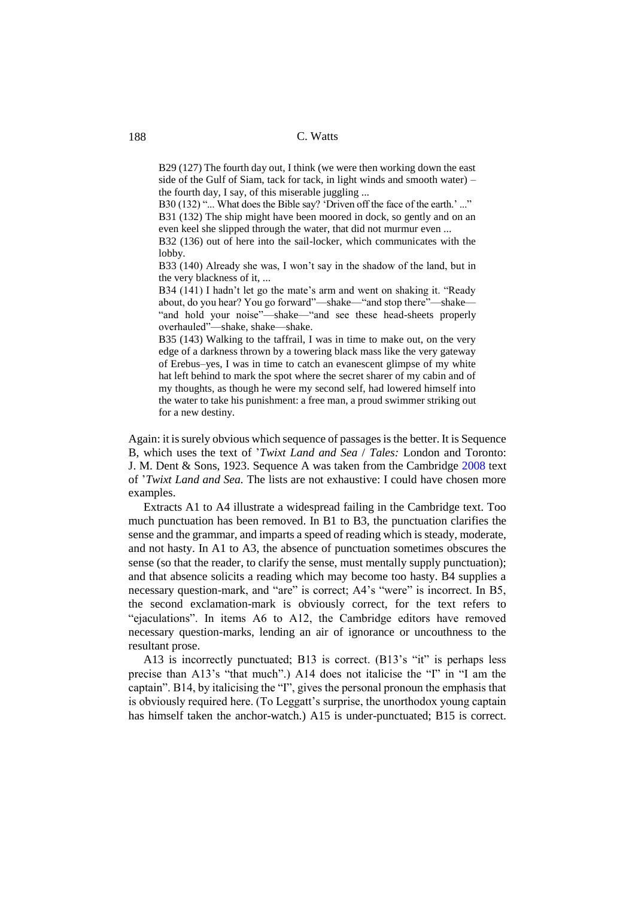B29 (127) The fourth day out, I think (we were then working down the east side of the Gulf of Siam, tack for tack, in light winds and smooth water) – the fourth day, I say, of this miserable juggling ...

B30 (132) "... What does the Bible say? 'Driven off the face of the earth.' ..." B31 (132) The ship might have been moored in dock, so gently and on an even keel she slipped through the water, that did not murmur even ...

B32 (136) out of here into the sail-locker, which communicates with the lobby.

B33 (140) Already she was, I won't say in the shadow of the land, but in the very blackness of it, ...

B34 (141) I hadn't let go the mate's arm and went on shaking it. "Ready about, do you hear? You go forward"—shake—"and stop there"—shake— "and hold your noise"—shake—"and see these head-sheets properly overhauled"—shake, shake—shake.

B35 (143) Walking to the taffrail, I was in time to make out, on the very edge of a darkness thrown by a towering black mass like the very gateway of Erebus–yes, I was in time to catch an evanescent glimpse of my white hat left behind to mark the spot where the secret sharer of my cabin and of my thoughts, as though he were my second self, had lowered himself into the water to take his punishment: a free man, a proud swimmer striking out for a new destiny.

Again: it is surely obvious which sequence of passages is the better. It is Sequence B, which uses the text of '*Twixt Land and Sea* / *Tales:* London and Toronto: J. M. Dent & Sons, 1923. Sequence A was taken from the Cambridge [2008](#page-18-5) text of '*Twixt Land and Sea.* The lists are not exhaustive: I could have chosen more examples.

Extracts A1 to A4 illustrate a widespread failing in the Cambridge text. Too much punctuation has been removed. In B1 to B3, the punctuation clarifies the sense and the grammar, and imparts a speed of reading which is steady, moderate, and not hasty. In A1 to A3, the absence of punctuation sometimes obscures the sense (so that the reader, to clarify the sense, must mentally supply punctuation); and that absence solicits a reading which may become too hasty. B4 supplies a necessary question-mark, and "are" is correct; A4's "were" is incorrect. In B5, the second exclamation-mark is obviously correct, for the text refers to "ejaculations". In items A6 to A12, the Cambridge editors have removed necessary question-marks, lending an air of ignorance or uncouthness to the resultant prose.

A13 is incorrectly punctuated; B13 is correct. (B13's "it" is perhaps less precise than A13's "that much".) A14 does not italicise the "I" in "I am the captain". B14, by italicising the "I", gives the personal pronoun the emphasis that is obviously required here. (To Leggatt's surprise, the unorthodox young captain has himself taken the anchor-watch.) A15 is under-punctuated; B15 is correct.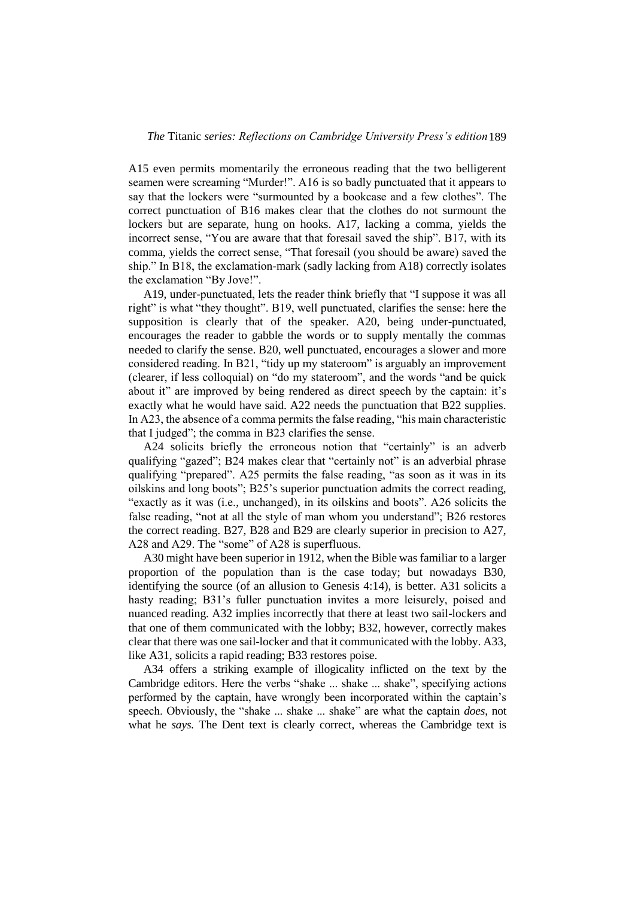A15 even permits momentarily the erroneous reading that the two belligerent seamen were screaming "Murder!". A16 is so badly punctuated that it appears to say that the lockers were "surmounted by a bookcase and a few clothes". The correct punctuation of B16 makes clear that the clothes do not surmount the lockers but are separate, hung on hooks. A17, lacking a comma, yields the incorrect sense, "You are aware that that foresail saved the ship". B17, with its comma, yields the correct sense, "That foresail (you should be aware) saved the ship." In B18, the exclamation-mark (sadly lacking from A18) correctly isolates the exclamation "By Jove!".

A19, under-punctuated, lets the reader think briefly that "I suppose it was all right" is what "they thought". B19, well punctuated, clarifies the sense: here the supposition is clearly that of the speaker. A20, being under-punctuated, encourages the reader to gabble the words or to supply mentally the commas needed to clarify the sense. B20, well punctuated, encourages a slower and more considered reading. In B21, "tidy up my stateroom" is arguably an improvement (clearer, if less colloquial) on "do my stateroom", and the words "and be quick about it" are improved by being rendered as direct speech by the captain: it's exactly what he would have said. A22 needs the punctuation that B22 supplies. In A23, the absence of a comma permits the false reading, "his main characteristic that I judged"; the comma in B23 clarifies the sense.

A24 solicits briefly the erroneous notion that "certainly" is an adverb qualifying "gazed"; B24 makes clear that "certainly not" is an adverbial phrase qualifying "prepared". A25 permits the false reading, "as soon as it was in its oilskins and long boots"; B25's superior punctuation admits the correct reading, "exactly as it was (i.e., unchanged), in its oilskins and boots". A26 solicits the false reading, "not at all the style of man whom you understand"; B26 restores the correct reading. B27, B28 and B29 are clearly superior in precision to A27, A28 and A29. The "some" of A28 is superfluous.

A30 might have been superior in 1912, when the Bible was familiar to a larger proportion of the population than is the case today; but nowadays B30, identifying the source (of an allusion to Genesis 4:14), is better. A31 solicits a hasty reading; B31's fuller punctuation invites a more leisurely, poised and nuanced reading. A32 implies incorrectly that there at least two sail-lockers and that one of them communicated with the lobby; B32, however, correctly makes clear that there was one sail-locker and that it communicated with the lobby. A33, like A31, solicits a rapid reading; B33 restores poise.

A34 offers a striking example of illogicality inflicted on the text by the Cambridge editors. Here the verbs "shake ... shake ... shake", specifying actions performed by the captain, have wrongly been incorporated within the captain's speech. Obviously, the "shake ... shake ... shake" are what the captain *does*, not what he *says.* The Dent text is clearly correct, whereas the Cambridge text is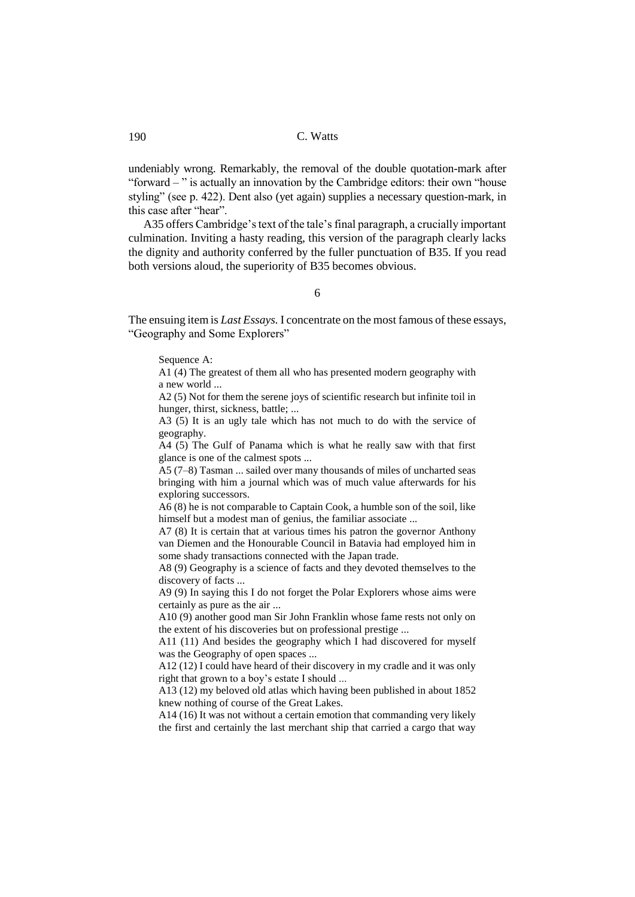undeniably wrong. Remarkably, the removal of the double quotation-mark after "forward – " is actually an innovation by the Cambridge editors: their own "house styling" (see p. 422). Dent also (yet again) supplies a necessary question-mark, in this case after "hear".

A35 offers Cambridge's text of the tale's final paragraph, a crucially important culmination. Inviting a hasty reading, this version of the paragraph clearly lacks the dignity and authority conferred by the fuller punctuation of B35. If you read both versions aloud, the superiority of B35 becomes obvious.

# 6

The ensuing item is *Last Essays.* I concentrate on the most famous of these essays, "Geography and Some Explorers"

#### Sequence A:

A1 (4) The greatest of them all who has presented modern geography with a new world ...

A2 (5) Not for them the serene joys of scientific research but infinite toil in hunger, thirst, sickness, battle; ...

A3 (5) It is an ugly tale which has not much to do with the service of geography.

A4 (5) The Gulf of Panama which is what he really saw with that first glance is one of the calmest spots ...

A5 (7–8) Tasman ... sailed over many thousands of miles of uncharted seas bringing with him a journal which was of much value afterwards for his exploring successors.

A6 (8) he is not comparable to Captain Cook, a humble son of the soil, like himself but a modest man of genius, the familiar associate ...

A7 (8) It is certain that at various times his patron the governor Anthony van Diemen and the Honourable Council in Batavia had employed him in some shady transactions connected with the Japan trade.

A8 (9) Geography is a science of facts and they devoted themselves to the discovery of facts ...

A9 (9) In saying this I do not forget the Polar Explorers whose aims were certainly as pure as the air ...

A10 (9) another good man Sir John Franklin whose fame rests not only on the extent of his discoveries but on professional prestige ...

A11 (11) And besides the geography which I had discovered for myself was the Geography of open spaces ...

A12 (12) I could have heard of their discovery in my cradle and it was only right that grown to a boy's estate I should ...

A13 (12) my beloved old atlas which having been published in about 1852 knew nothing of course of the Great Lakes.

A14 (16) It was not without a certain emotion that commanding very likely the first and certainly the last merchant ship that carried a cargo that way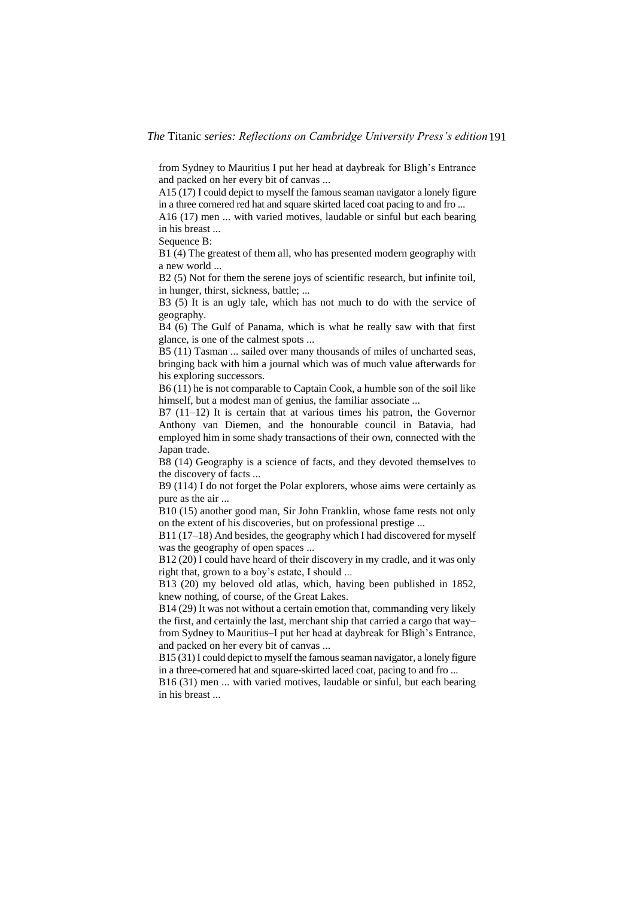from Sydney to Mauritius I put her head at daybreak for Bligh's Entrance and packed on her every bit of canvas ...

 $A15(17)$  I could depict to myself the famous seaman navigator a lonely figure in a three cornered red hat and square skirted laced coat pacing to and fro ...

A16 (17) men ... with varied motives, laudable or sinful but each bearing in his breast ...

Sequence B:

B1 (4) The greatest of them all, who has presented modern geography with a new world ...

B<sub>2</sub> (5) Not for them the serene joys of scientific research, but infinite toil, in hunger, thirst, sickness, battle; ...

B3 (5) It is an ugly tale, which has not much to do with the service of geography.

B4 (6) The Gulf of Panama, which is what he really saw with that first glance, is one of the calmest spots ...

B5 (11) Tasman ... sailed over many thousands of miles of uncharted seas, bringing back with him a journal which was of much value afterwards for his exploring successors.

B6 (11) he is not comparable to Captain Cook, a humble son of the soil like himself, but a modest man of genius, the familiar associate ...

B7 (11–12) It is certain that at various times his patron, the Governor Anthony van Diemen, and the honourable council in Batavia, had employed him in some shady transactions of their own, connected with the Japan trade.

B8 (14) Geography is a science of facts, and they devoted themselves to the discovery of facts ...

B9 (114) I do not forget the Polar explorers, whose aims were certainly as pure as the air ...

B10 (15) another good man, Sir John Franklin, whose fame rests not only on the extent of his discoveries, but on professional prestige ...

B11 (17–18) And besides, the geography which I had discovered for myself was the geography of open spaces ...

B12 (20) I could have heard of their discovery in my cradle, and it was only right that, grown to a boy's estate, I should ...

B13 (20) my beloved old atlas, which, having been published in 1852, knew nothing, of course, of the Great Lakes.

B14 (29) It was not without a certain emotion that, commanding very likely the first, and certainly the last, merchant ship that carried a cargo that way– from Sydney to Mauritius–I put her head at daybreak for Bligh's Entrance, and packed on her every bit of canvas ...

B15 (31) I could depict to myself the famous seaman navigator, a lonely figure in a three-cornered hat and square-skirted laced coat, pacing to and fro ...

B16 (31) men ... with varied motives, laudable or sinful, but each bearing in his breast ...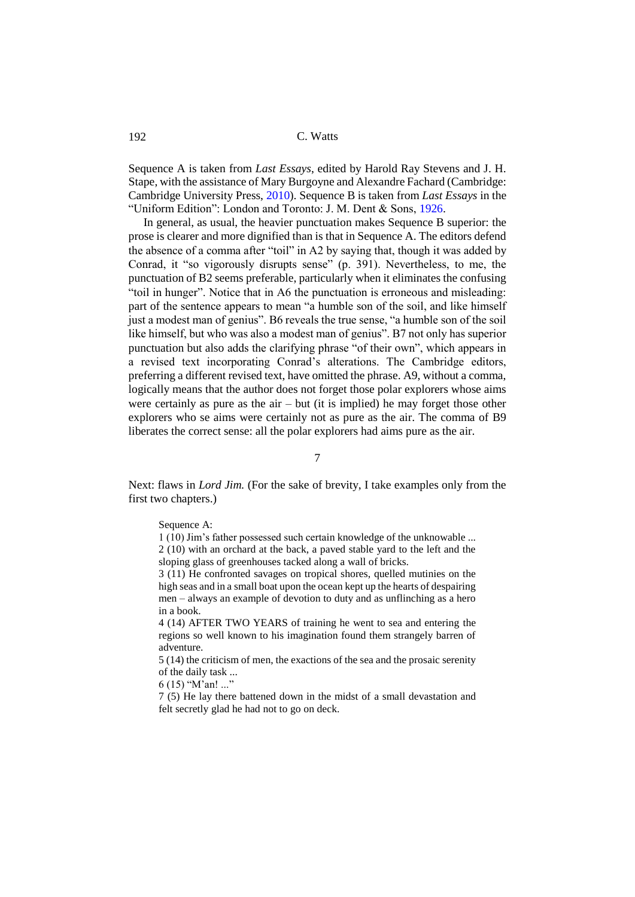Sequence A is taken from *Last Essays*, edited by Harold Ray Stevens and J. H. Stape, with the assistance of Mary Burgoyne and Alexandre Fachard (Cambridge: Cambridge University Press[, 2010\)](#page-18-6). Sequence B is taken from *Last Essays* in the "Uniform Edition": London and Toronto: J. M. Dent & Sons, [1926.](#page-18-7)

In general, as usual, the heavier punctuation makes Sequence B superior: the prose is clearer and more dignified than is that in Sequence A. The editors defend the absence of a comma after "toil" in A2 by saying that, though it was added by Conrad, it "so vigorously disrupts sense" (p. 391). Nevertheless, to me, the punctuation of B2 seems preferable, particularly when it eliminates the confusing "toil in hunger". Notice that in A6 the punctuation is erroneous and misleading: part of the sentence appears to mean "a humble son of the soil, and like himself just a modest man of genius". B6 reveals the true sense, "a humble son of the soil like himself, but who was also a modest man of genius". B7 not only has superior punctuation but also adds the clarifying phrase "of their own", which appears in a revised text incorporating Conrad's alterations. The Cambridge editors, preferring a different revised text, have omitted the phrase. A9, without a comma, logically means that the author does not forget those polar explorers whose aims were certainly as pure as the  $air - but$  (it is implied) he may forget those other explorers who se aims were certainly not as pure as the air. The comma of B9 liberates the correct sense: all the polar explorers had aims pure as the air.

7

Next: flaws in *Lord Jim.* (For the sake of brevity, I take examples only from the first two chapters.)

Sequence A:

1 (10) Jim's father possessed such certain knowledge of the unknowable ... 2 (10) with an orchard at the back, a paved stable yard to the left and the sloping glass of greenhouses tacked along a wall of bricks.

3 (11) He confronted savages on tropical shores, quelled mutinies on the high seas and in a small boat upon the ocean kept up the hearts of despairing men – always an example of devotion to duty and as unflinching as a hero in a book.

4 (14) AFTER TWO YEARS of training he went to sea and entering the regions so well known to his imagination found them strangely barren of adventure.

5 (14) the criticism of men, the exactions of the sea and the prosaic serenity of the daily task ...

6 (15) "M'an! ..."

7 (5) He lay there battened down in the midst of a small devastation and felt secretly glad he had not to go on deck.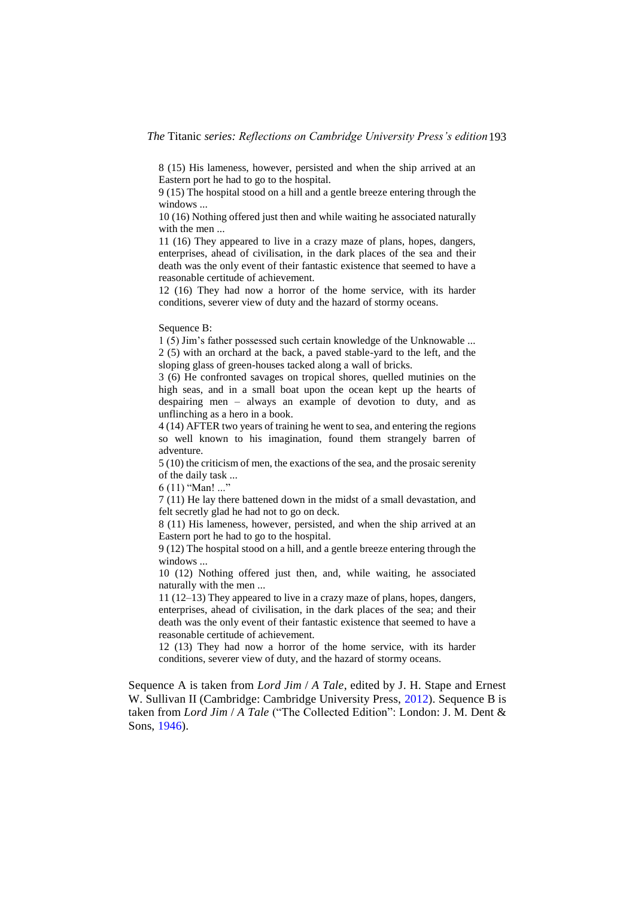8 (15) His lameness, however, persisted and when the ship arrived at an Eastern port he had to go to the hospital.

9 (15) The hospital stood on a hill and a gentle breeze entering through the windows ...

10 (16) Nothing offered just then and while waiting he associated naturally with the men ...

11 (16) They appeared to live in a crazy maze of plans, hopes, dangers, enterprises, ahead of civilisation, in the dark places of the sea and their death was the only event of their fantastic existence that seemed to have a reasonable certitude of achievement.

12 (16) They had now a horror of the home service, with its harder conditions, severer view of duty and the hazard of stormy oceans.

Sequence B:

1 (5) Jim's father possessed such certain knowledge of the Unknowable ... 2 (5) with an orchard at the back, a paved stable-yard to the left, and the sloping glass of green-houses tacked along a wall of bricks.

3 (6) He confronted savages on tropical shores, quelled mutinies on the high seas, and in a small boat upon the ocean kept up the hearts of despairing men – always an example of devotion to duty, and as unflinching as a hero in a book.

4 (14) AFTER two years of training he went to sea, and entering the regions so well known to his imagination, found them strangely barren of adventure.

5 (10) the criticism of men, the exactions of the sea, and the prosaic serenity of the daily task ...

6 (11) "Man! ..."

7 (11) He lay there battened down in the midst of a small devastation, and felt secretly glad he had not to go on deck.

8 (11) His lameness, however, persisted, and when the ship arrived at an Eastern port he had to go to the hospital.

9 (12) The hospital stood on a hill, and a gentle breeze entering through the windows ...

10 (12) Nothing offered just then, and, while waiting, he associated naturally with the men ...

11 (12–13) They appeared to live in a crazy maze of plans, hopes, dangers, enterprises, ahead of civilisation, in the dark places of the sea; and their death was the only event of their fantastic existence that seemed to have a reasonable certitude of achievement.

12 (13) They had now a horror of the home service, with its harder conditions, severer view of duty, and the hazard of stormy oceans.

Sequence A is taken from *Lord Jim* / *A Tale*, edited by J. H. Stape and Ernest W. Sullivan II (Cambridge: Cambridge University Press, [2012\)](#page-18-2). Sequence B is taken from *Lord Jim* / *A Tale* ("The Collected Edition": London: J. M. Dent & Sons, [1946\)](#page-18-8).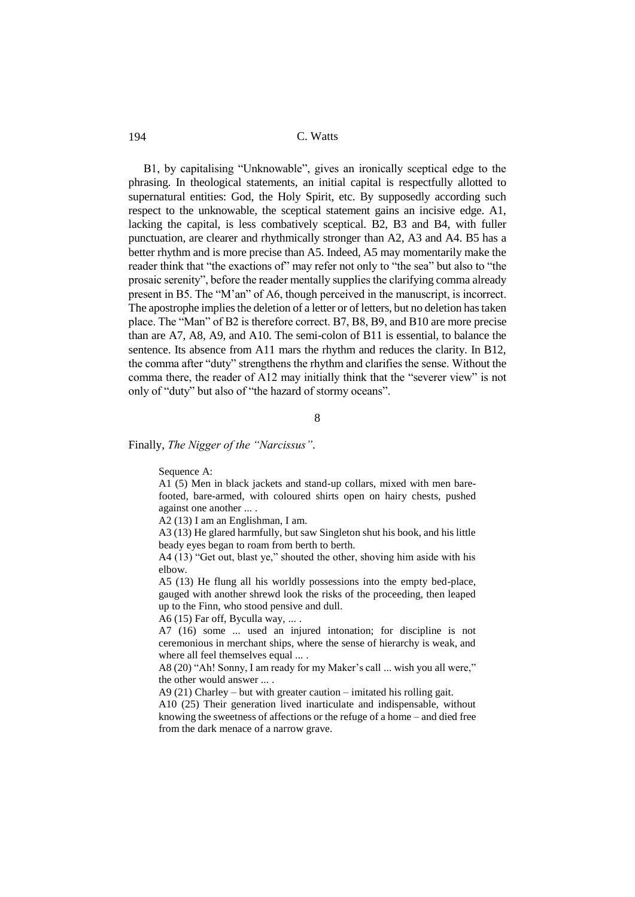B1, by capitalising "Unknowable", gives an ironically sceptical edge to the phrasing. In theological statements, an initial capital is respectfully allotted to supernatural entities: God, the Holy Spirit, etc. By supposedly according such respect to the unknowable, the sceptical statement gains an incisive edge. A1, lacking the capital, is less combatively sceptical. B2, B3 and B4, with fuller punctuation, are clearer and rhythmically stronger than A2, A3 and A4. B5 has a better rhythm and is more precise than A5. Indeed, A5 may momentarily make the reader think that "the exactions of" may refer not only to "the sea" but also to "the prosaic serenity", before the reader mentally supplies the clarifying comma already present in B5. The "M'an" of A6, though perceived in the manuscript, is incorrect. The apostrophe implies the deletion of a letter or of letters, but no deletion has taken place. The "Man" of B2 is therefore correct. B7, B8, B9, and B10 are more precise than are A7, A8, A9, and A10. The semi-colon of B11 is essential, to balance the sentence. Its absence from A11 mars the rhythm and reduces the clarity. In B12, the comma after "duty" strengthens the rhythm and clarifies the sense. Without the comma there, the reader of A12 may initially think that the "severer view" is not only of "duty" but also of "the hazard of stormy oceans".

8

Finally, *The Nigger of the "Narcissus"*.

Sequence A:

A1 (5) Men in black jackets and stand-up collars, mixed with men barefooted, bare-armed, with coloured shirts open on hairy chests, pushed against one another ... .

A2 (13) I am an Englishman, I am.

A3 (13) He glared harmfully, but saw Singleton shut his book, and his little beady eyes began to roam from berth to berth.

A4 (13) "Get out, blast ye," shouted the other, shoving him aside with his elbow.

A5 (13) He flung all his worldly possessions into the empty bed-place, gauged with another shrewd look the risks of the proceeding, then leaped up to the Finn, who stood pensive and dull.

A6 (15) Far off, Byculla way, ... .

A7 (16) some ... used an injured intonation; for discipline is not ceremonious in merchant ships, where the sense of hierarchy is weak, and where all feel themselves equal ... .

A8 (20) "Ah! Sonny, I am ready for my Maker's call ... wish you all were," the other would answer ... .

A9 (21) Charley – but with greater caution – imitated his rolling gait.

A10 (25) Their generation lived inarticulate and indispensable, without knowing the sweetness of affections or the refuge of a home – and died free from the dark menace of a narrow grave.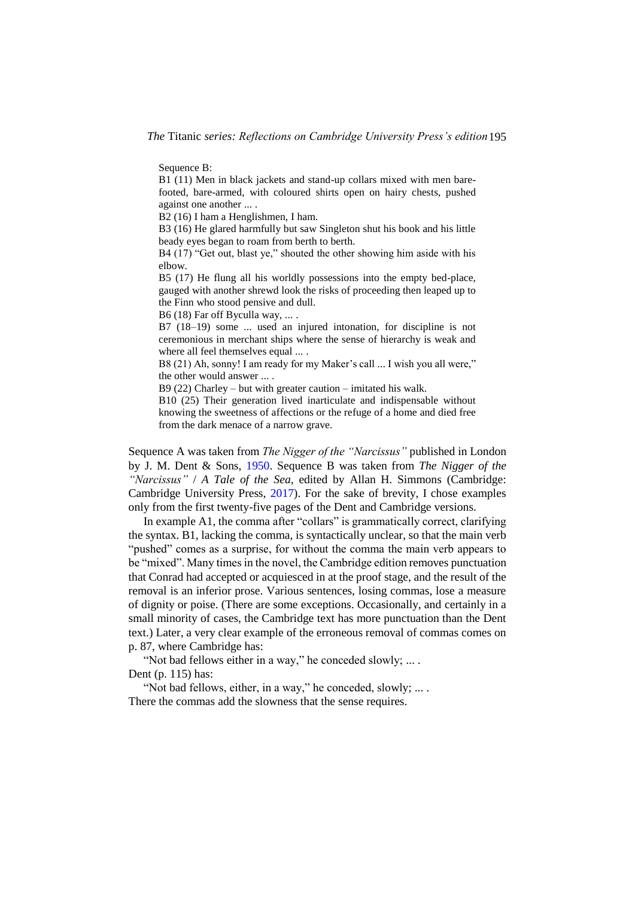Sequence B:

B1 (11) Men in black jackets and stand-up collars mixed with men barefooted, bare-armed, with coloured shirts open on hairy chests, pushed against one another ... .

B2 (16) I ham a Henglishmen, I ham.

B3 (16) He glared harmfully but saw Singleton shut his book and his little beady eyes began to roam from berth to berth.

B4 (17) "Get out, blast ye," shouted the other showing him aside with his elbow.

B5 (17) He flung all his worldly possessions into the empty bed-place, gauged with another shrewd look the risks of proceeding then leaped up to the Finn who stood pensive and dull.

B6 (18) Far off Byculla way, ... .

B7 (18–19) some ... used an injured intonation, for discipline is not ceremonious in merchant ships where the sense of hierarchy is weak and where all feel themselves equal ... .

B8 (21) Ah, sonny! I am ready for my Maker's call ... I wish you all were," the other would answer ... .

B9 (22) Charley – but with greater caution – imitated his walk.

B10 (25) Their generation lived inarticulate and indispensable without knowing the sweetness of affections or the refuge of a home and died free from the dark menace of a narrow grave.

Sequence A was taken from *The Nigger of the "Narcissus"* published in London by J. M. Dent & Sons, [1950.](#page-18-9) Sequence B was taken from *The Nigger of the "Narcissus"* / *A Tale of the Sea*, edited by Allan H. Simmons (Cambridge: Cambridge University Press, [2017\)](#page-18-10). For the sake of brevity, I chose examples only from the first twenty-five pages of the Dent and Cambridge versions.

In example A1, the comma after "collars" is grammatically correct, clarifying the syntax. B1, lacking the comma, is syntactically unclear, so that the main verb "pushed" comes as a surprise, for without the comma the main verb appears to be "mixed". Many times in the novel, the Cambridge edition removes punctuation that Conrad had accepted or acquiesced in at the proof stage, and the result of the removal is an inferior prose. Various sentences, losing commas, lose a measure of dignity or poise. (There are some exceptions. Occasionally, and certainly in a small minority of cases, the Cambridge text has more punctuation than the Dent text.) Later, a very clear example of the erroneous removal of commas comes on p. 87, where Cambridge has:

"Not bad fellows either in a way," he conceded slowly; ... . Dent (p. 115) has:

"Not bad fellows, either, in a way," he conceded, slowly; ... . There the commas add the slowness that the sense requires.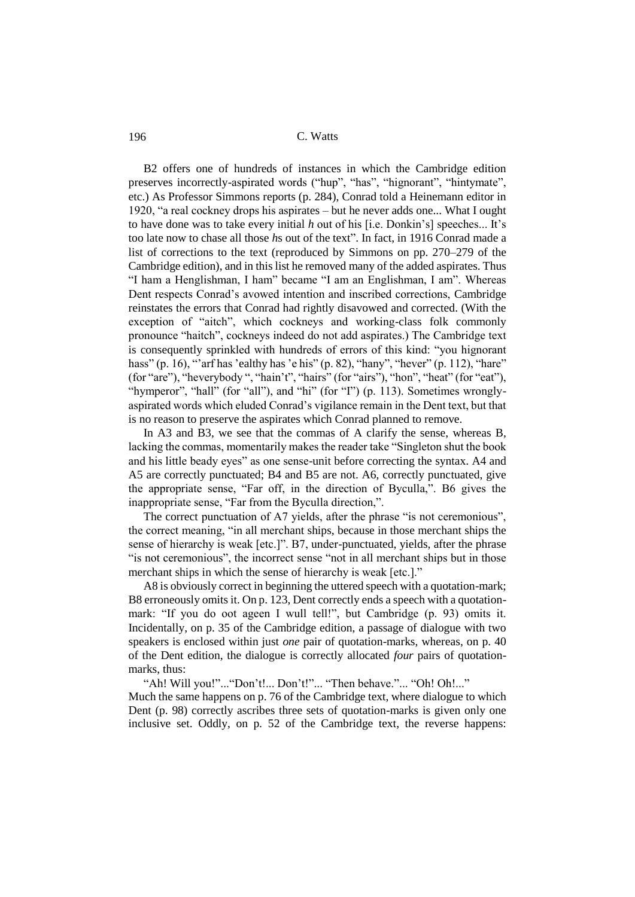B2 offers one of hundreds of instances in which the Cambridge edition preserves incorrectly-aspirated words ("hup", "has", "hignorant", "hintymate", etc.) As Professor Simmons reports (p. 284), Conrad told a Heinemann editor in 1920, "a real cockney drops his aspirates – but he never adds one... What I ought to have done was to take every initial *h* out of his [i.e. Donkin's] speeches... It's too late now to chase all those *h*s out of the text". In fact, in 1916 Conrad made a list of corrections to the text (reproduced by Simmons on pp. 270–279 of the Cambridge edition), and in this list he removed many of the added aspirates. Thus "I ham a Henglishman, I ham" became "I am an Englishman, I am". Whereas Dent respects Conrad's avowed intention and inscribed corrections, Cambridge reinstates the errors that Conrad had rightly disavowed and corrected. (With the exception of "aitch", which cockneys and working-class folk commonly pronounce "haitch", cockneys indeed do not add aspirates.) The Cambridge text is consequently sprinkled with hundreds of errors of this kind: "you hignorant hass" (p. 16), "arf has 'ealthy has 'e his" (p. 82), "hany", "hever" (p. 112), "hare" (for "are"), "heverybody ", "hain't", "hairs" (for "airs"), "hon", "heat" (for "eat"), "hymperor", "hall" (for "all"), and "hi" (for "I") (p. 113). Sometimes wronglyaspirated words which eluded Conrad's vigilance remain in the Dent text, but that is no reason to preserve the aspirates which Conrad planned to remove.

In A3 and B3, we see that the commas of A clarify the sense, whereas B, lacking the commas, momentarily makes the reader take "Singleton shut the book and his little beady eyes" as one sense-unit before correcting the syntax. A4 and A5 are correctly punctuated; B4 and B5 are not. A6, correctly punctuated, give the appropriate sense, "Far off, in the direction of Byculla,". B6 gives the inappropriate sense, "Far from the Byculla direction,".

The correct punctuation of A7 yields, after the phrase "is not ceremonious", the correct meaning, "in all merchant ships, because in those merchant ships the sense of hierarchy is weak [etc.]". B7, under-punctuated, yields, after the phrase "is not ceremonious", the incorrect sense "not in all merchant ships but in those merchant ships in which the sense of hierarchy is weak [etc.]."

A8 is obviously correct in beginning the uttered speech with a quotation-mark; B8 erroneously omits it. On p. 123, Dent correctly ends a speech with a quotationmark: "If you do oot ageen I wull tell!", but Cambridge (p. 93) omits it. Incidentally, on p. 35 of the Cambridge edition, a passage of dialogue with two speakers is enclosed within just *one* pair of quotation-marks, whereas, on p. 40 of the Dent edition, the dialogue is correctly allocated *four* pairs of quotationmarks, thus:

"Ah! Will you!"..."Don't!... Don't!"... "Then behave."... "Oh! Oh!..." Much the same happens on p. 76 of the Cambridge text, where dialogue to which

Dent (p. 98) correctly ascribes three sets of quotation-marks is given only one inclusive set. Oddly, on p. 52 of the Cambridge text, the reverse happens: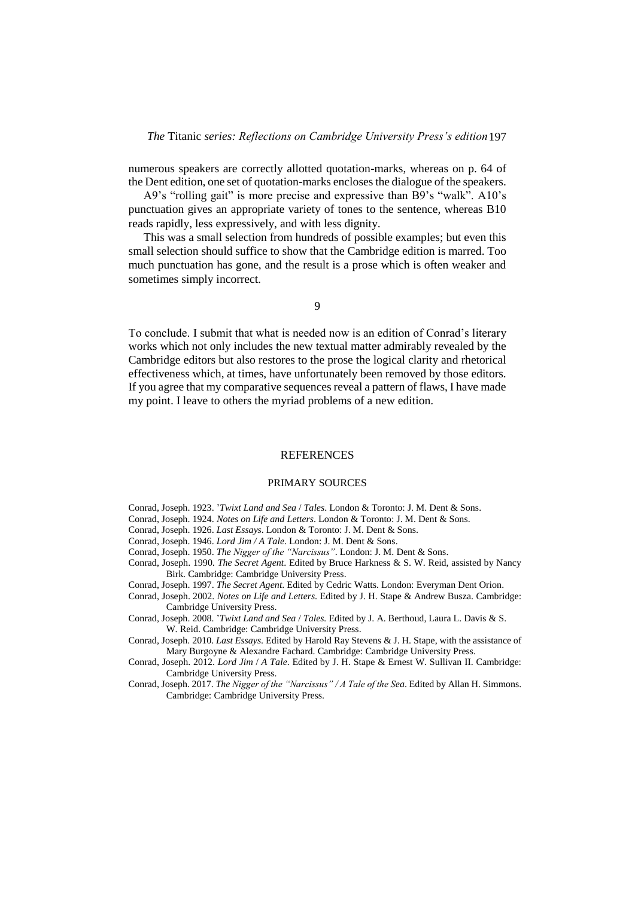numerous speakers are correctly allotted quotation-marks, whereas on p. 64 of the Dent edition, one set of quotation-marks encloses the dialogue of the speakers.

A9's "rolling gait" is more precise and expressive than B9's "walk". A10's punctuation gives an appropriate variety of tones to the sentence, whereas B10 reads rapidly, less expressively, and with less dignity.

This was a small selection from hundreds of possible examples; but even this small selection should suffice to show that the Cambridge edition is marred. Too much punctuation has gone, and the result is a prose which is often weaker and sometimes simply incorrect.

9

To conclude. I submit that what is needed now is an edition of Conrad's literary works which not only includes the new textual matter admirably revealed by the Cambridge editors but also restores to the prose the logical clarity and rhetorical effectiveness which, at times, have unfortunately been removed by those editors. If you agree that my comparative sequences reveal a pattern of flaws, I have made my point. I leave to others the myriad problems of a new edition.

## **REFERENCES**

## PRIMARY SOURCES

- Conrad, Joseph. 1923. '*Twixt Land and Sea* / *Tales*. London & Toronto: J. M. Dent & Sons.
- <span id="page-18-4"></span>Conrad, Joseph. 1924. *Notes on Life and Letters*. London & Toronto: J. M. Dent & Sons.
- <span id="page-18-7"></span>Conrad, Joseph. 1926. *Last Essays*. London & Toronto: J. M. Dent & Sons.
- <span id="page-18-8"></span>Conrad, Joseph. 1946. *Lord Jim / A Tale*. London: J. M. Dent & Sons.
- <span id="page-18-9"></span>Conrad, Joseph. 1950. *The Nigger of the "Narcissus"*. London: J. M. Dent & Sons.
- <span id="page-18-1"></span>Conrad, Joseph. 1990. *The Secret Agent*. Edited by Bruce Harkness & S. W. Reid, assisted by Nancy Birk. Cambridge: Cambridge University Press.
- <span id="page-18-3"></span>Conrad, Joseph. 1997. *The Secret Agent*. Edited by Cedric Watts. London: Everyman Dent Orion.
- <span id="page-18-0"></span>Conrad, Joseph. 2002. *Notes on Life and Letters*. Edited by J. H. Stape & Andrew Busza. Cambridge: Cambridge University Press.
- <span id="page-18-5"></span>Conrad, Joseph. 2008. '*Twixt Land and Sea* / *Tales.* Edited by J. A. Berthoud, Laura L. Davis & S. W. Reid. Cambridge: Cambridge University Press.
- <span id="page-18-6"></span>Conrad, Joseph. 2010. *Last Essays*. Edited by Harold Ray Stevens & J. H. Stape, with the assistance of Mary Burgoyne & Alexandre Fachard. Cambridge: Cambridge University Press.
- <span id="page-18-2"></span>Conrad, Joseph. 2012. *Lord Jim* / *A Tale*. Edited by J. H. Stape & Ernest W. Sullivan II. Cambridge: Cambridge University Press.
- <span id="page-18-10"></span>Conrad, Joseph. 2017. *The Nigger of the "Narcissus" / A Tale of the Sea*. Edited by Allan H. Simmons. Cambridge: Cambridge University Press.